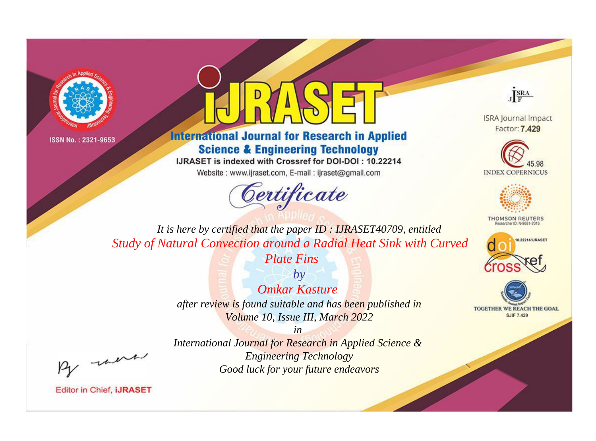



**International Journal for Research in Applied Science & Engineering Technology** 

IJRASET is indexed with Crossref for DOI-DOI: 10.22214

Website: www.ijraset.com, E-mail: ijraset@gmail.com





**ISRA Journal Impact** Factor: 7.429





**THOMSON REUTERS** 



TOGETHER WE REACH THE GOAL **SJIF 7.429** 

*It is here by certified that the paper ID : IJRASET40709, entitled Study of Natural Convection around a Radial Heat Sink with Curved* 

*Plate Fins*

*by Omkar Kasture after review is found suitable and has been published in Volume 10, Issue III, March 2022*

, un

*International Journal for Research in Applied Science & Engineering Technology Good luck for your future endeavors*

*in*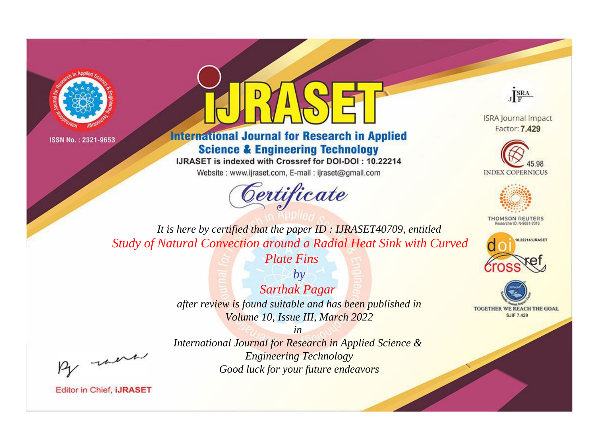



**International Journal for Research in Applied Science & Engineering Technology** 

IJRASET is indexed with Crossref for DOI-DOI: 10.22214

Website: www.ijraset.com, E-mail: ijraset@gmail.com





**ISRA Journal Impact** Factor: 7.429





**THOMSON REUTERS** 



TOGETHER WE REACH THE GOAL **SJIF 7.429** 

*It is here by certified that the paper ID : IJRASET40709, entitled Study of Natural Convection around a Radial Heat Sink with Curved* 

*Plate Fins*

*by Sarthak Pagar after review is found suitable and has been published in Volume 10, Issue III, March 2022*

, un

*International Journal for Research in Applied Science & Engineering Technology Good luck for your future endeavors*

*in*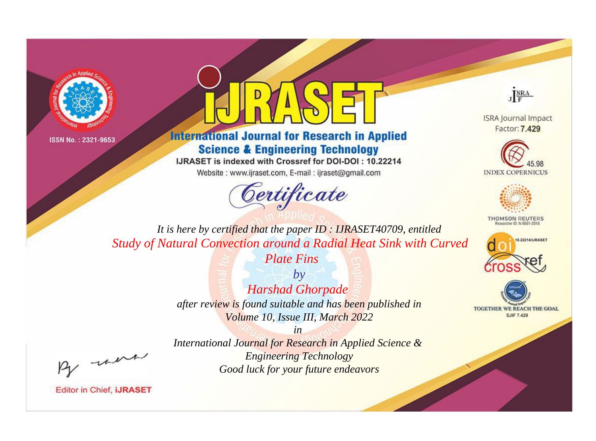



**International Journal for Research in Applied Science & Engineering Technology** 

IJRASET is indexed with Crossref for DOI-DOI: 10.22214

Website: www.ijraset.com, E-mail: ijraset@gmail.com





**ISRA Journal Impact** Factor: 7.429





**THOMSON REUTERS** 



TOGETHER WE REACH THE GOAL **SJIF 7.429** 

*It is here by certified that the paper ID : IJRASET40709, entitled Study of Natural Convection around a Radial Heat Sink with Curved* 

*Plate Fins*

*by Harshad Ghorpade after review is found suitable and has been published in Volume 10, Issue III, March 2022*

, un

*International Journal for Research in Applied Science & Engineering Technology Good luck for your future endeavors*

*in*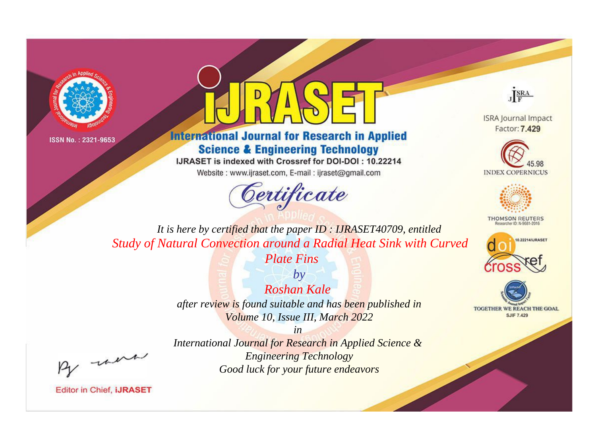



**International Journal for Research in Applied Science & Engineering Technology** 

IJRASET is indexed with Crossref for DOI-DOI: 10.22214

Website: www.ijraset.com, E-mail: ijraset@gmail.com



JERA

**ISRA Journal Impact** Factor: 7.429





**THOMSON REUTERS** 



TOGETHER WE REACH THE GOAL **SJIF 7.429** 

It is here by certified that the paper ID: IJRASET40709, entitled Study of Natural Convection around a Radial Heat Sink with Curved

**Plate Fins** 

 $b\nu$ Roshan Kale after review is found suitable and has been published in Volume 10, Issue III, March 2022

were

International Journal for Research in Applied Science & **Engineering Technology** Good luck for your future endeavors

 $in$